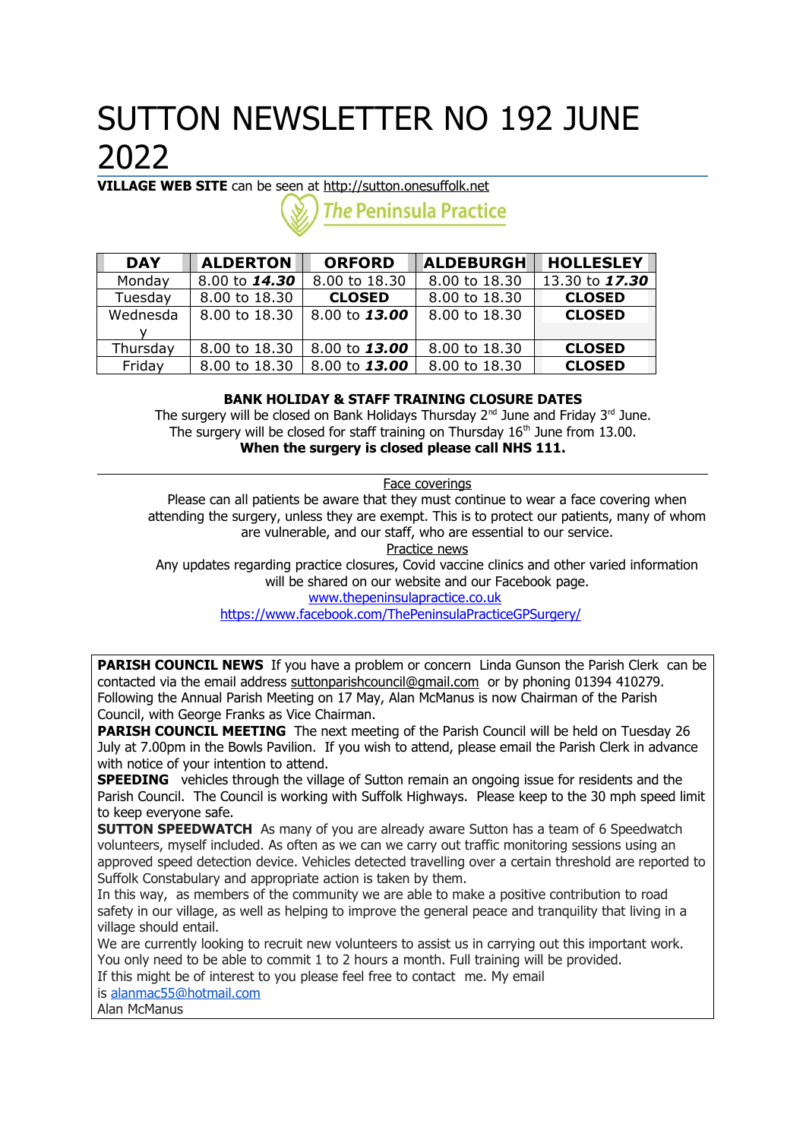# SUTTON NEWSLETTER NO 192 JUNE 2022

**VILLAGE WEB SITE** can be seen at [http://sutton.onesuffolk.net](http://sutton.onesuffolk.net/)

**The Peninsula Practice** 

| <b>DAY</b> | <b>ALDERTON</b> | <b>ORFORD</b> | <b>ALDEBURGH</b> | <b>HOLLESLEY</b> |
|------------|-----------------|---------------|------------------|------------------|
| Monday     | 8.00 to 14.30   | 8.00 to 18.30 | 8.00 to 18.30    | 13.30 to 17.30   |
| Tuesday    | 8.00 to 18.30   | <b>CLOSED</b> | 8.00 to 18.30    | <b>CLOSED</b>    |
| Wednesda   | 8.00 to 18.30   | 8.00 to 13.00 | 8,00 to 18,30    | <b>CLOSED</b>    |
|            |                 |               |                  |                  |
| Thursday   | 8.00 to 18.30   | 8.00 to 13.00 | 8.00 to 18.30    | <b>CLOSED</b>    |
| Friday     | 8.00 to 18.30   | 8.00 to 13.00 | 8,00 to 18,30    | <b>CLOSED</b>    |

## **BANK HOLIDAY & STAFF TRAINING CLOSURE DATES**

The surgery will be closed on Bank Holidays Thursday  $2^{nd}$  June and Friday  $3^{rd}$  June. The surgery will be closed for staff training on Thursday  $16<sup>th</sup>$  June from 13.00. **When the surgery is closed please call NHS 111.**

Face coverings

Please can all patients be aware that they must continue to wear a face covering when attending the surgery, unless they are exempt. This is to protect our patients, many of whom are vulnerable, and our staff, who are essential to our service.

Practice news

Any updates regarding practice closures, Covid vaccine clinics and other varied information will be shared on our website and our Facebook page. [www.thepeninsulapractice.co.uk](http://www.thepeninsulapractice.co.uk/)

<https://www.facebook.com/ThePeninsulaPracticeGPSurgery/>

**PARISH COUNCIL NEWS** If you have a problem or concern Linda Gunson the Parish Clerk can be contacted via the email address [suttonparishcouncil@gmail.com](mailto:suttonparishcouncil@gmail.com) or by phoning 01394 410279. Following the Annual Parish Meeting on 17 May, Alan McManus is now Chairman of the Parish Council, with George Franks as Vice Chairman.

**PARISH COUNCIL MEETING** The next meeting of the Parish Council will be held on Tuesday 26 July at 7.00pm in the Bowls Pavilion. If you wish to attend, please email the Parish Clerk in advance with notice of your intention to attend.

**SPEEDING** vehicles through the village of Sutton remain an ongoing issue for residents and the Parish Council. The Council is working with Suffolk Highways. Please keep to the 30 mph speed limit to keep everyone safe.

**SUTTON SPEEDWATCH** As many of you are already aware Sutton has a team of 6 Speedwatch volunteers, myself included. As often as we can we carry out traffic monitoring sessions using an approved speed detection device. Vehicles detected travelling over a certain threshold are reported to Suffolk Constabulary and appropriate action is taken by them.

In this way, as members of the community we are able to make a positive contribution to road safety in our village, as well as helping to improve the general peace and tranguility that living in a village should entail.

We are currently looking to recruit new volunteers to assist us in carrying out this important work. You only need to be able to commit 1 to 2 hours a month. Full training will be provided.

If this might be of interest to you please feel free to contact me. My email

is [alanmac55@hotmail.com](mailto:alanmac55@hotmail.com)

Alan McManus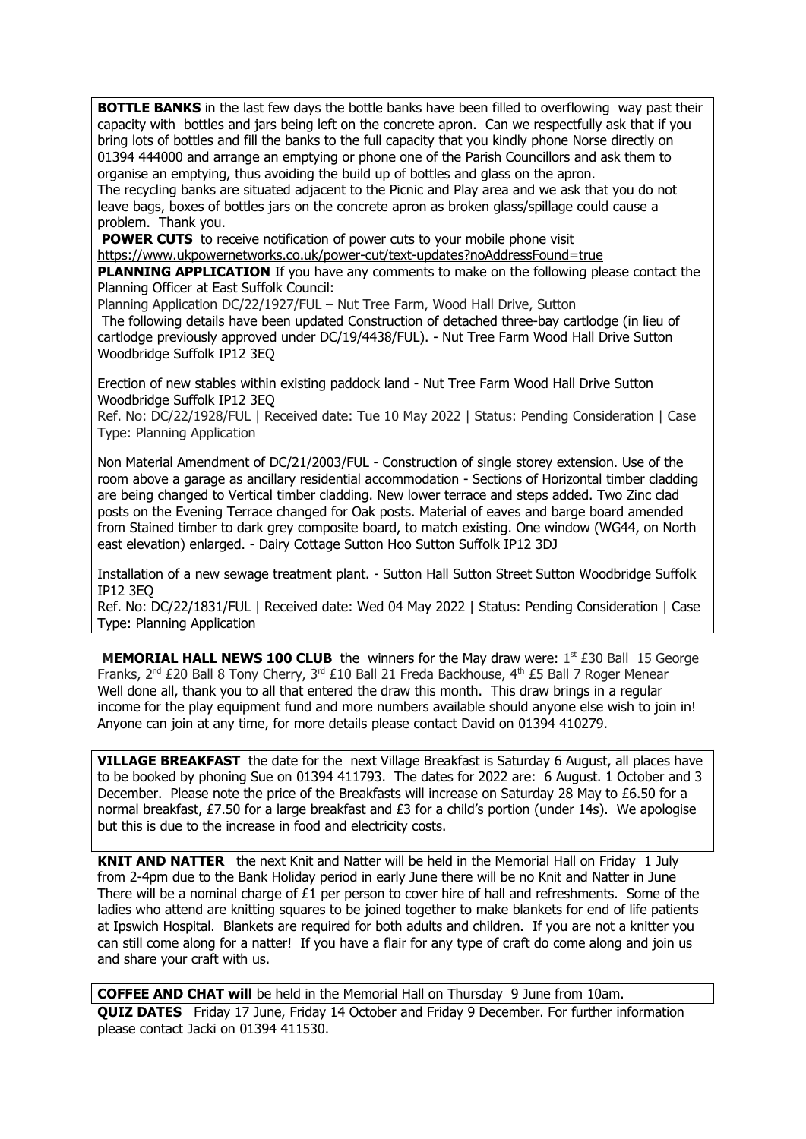**BOTTLE BANKS** in the last few days the bottle banks have been filled to overflowing way past their capacity with bottles and jars being left on the concrete apron. Can we respectfully ask that if you bring lots of bottles and fill the banks to the full capacity that you kindly phone Norse directly on 01394 444000 and arrange an emptying or phone one of the Parish Councillors and ask them to organise an emptying, thus avoiding the build up of bottles and glass on the apron. The recycling banks are situated adjacent to the Picnic and Play area and we ask that you do not leave bags, boxes of bottles jars on the concrete apron as broken glass/spillage could cause a problem. Thank you.

**POWER CUTS** to receive notification of power cuts to your mobile phone visit

<https://www.ukpowernetworks.co.uk/power-cut/text-updates?noAddressFound=true> **PLANNING APPLICATION** If you have any comments to make on the following please contact the Planning Officer at East Suffolk Council:

Planning Application DC/22/1927/FUL – Nut Tree Farm, Wood Hall Drive, Sutton

The following details have been updated [Construction of detached three-bay cartlodge \(in lieu of](https://publicaccess.eastsuffolk.gov.uk/online-applications/centralDistribution.do?caseType=Application&keyVal=RBO6SIQXKYF00)  [cartlodge previously approved under DC/19/4438/FUL\). - Nut Tree Farm Wood Hall Drive Sutton](https://publicaccess.eastsuffolk.gov.uk/online-applications/centralDistribution.do?caseType=Application&keyVal=RBO6SIQXKYF00)  [Woodbridge Suffolk IP12 3EQ](https://publicaccess.eastsuffolk.gov.uk/online-applications/centralDistribution.do?caseType=Application&keyVal=RBO6SIQXKYF00)

[Erection of new stables within existing paddock land - Nut Tree Farm Wood Hall Drive Sutton](https://publicaccess.eastsuffolk.gov.uk/online-applications/centralDistribution.do?caseType=Application&keyVal=RBO6SVQXKYH00)  [Woodbridge Suffolk IP12 3EQ](https://publicaccess.eastsuffolk.gov.uk/online-applications/centralDistribution.do?caseType=Application&keyVal=RBO6SVQXKYH00)

Ref. No: DC/22/1928/FUL | Received date: Tue 10 May 2022 | Status: Pending Consideration | Case Type: Planning Application

[Non Material Amendment of DC/21/2003/FUL - Construction of single storey extension. Use of the](https://publicaccess.eastsuffolk.gov.uk/online-applications/centralDistribution.do?caseType=Application&keyVal=R9O4EUQXK3900)  [room above a garage as ancillary residential accommodation - Sections of Horizontal timber cladding](https://publicaccess.eastsuffolk.gov.uk/online-applications/centralDistribution.do?caseType=Application&keyVal=R9O4EUQXK3900)  are being changed to Vertical timber cladding. New lower terrace and steps added. Two Zinc clad posts on the Evening Terrace changed for Oak posts. Material of eaves and barge board amended from Stained timber to dark grey composite board, to match existing. One window (WG44, on North [east elevation\) enlarged. - Dairy Cottage Sutton Hoo Sutton Suffolk IP12 3DJ](https://publicaccess.eastsuffolk.gov.uk/online-applications/centralDistribution.do?caseType=Application&keyVal=R9O4EUQXK3900)

[Installation of a new sewage treatment plant. - Sutton Hall Sutton Street Sutton Woodbridge Suffolk](https://publicaccess.eastsuffolk.gov.uk/online-applications/centralDistribution.do?caseType=Application&keyVal=RBCZZMQXKSX00)  [IP12 3EQ](https://publicaccess.eastsuffolk.gov.uk/online-applications/centralDistribution.do?caseType=Application&keyVal=RBCZZMQXKSX00)

Ref. No: DC/22/1831/FUL | Received date: Wed 04 May 2022 | Status: Pending Consideration | Case Type: Planning Application

**MEMORIAL HALL NEWS 100 CLUB** the winners for the May draw were: 1<sup>st</sup> £30 Ball 15 George Franks, 2<sup>nd</sup> £20 Ball 8 Tony Cherry, 3<sup>rd</sup> £10 Ball 21 Freda Backhouse, 4<sup>th</sup> £5 Ball 7 Roger Menear Well done all, thank you to all that entered the draw this month. This draw brings in a regular income for the play equipment fund and more numbers available should anyone else wish to join in! Anyone can join at any time, for more details please contact David on 01394 410279.

**VILLAGE BREAKFAST** the date for the next Village Breakfast is Saturday 6 August, all places have to be booked by phoning Sue on 01394 411793. The dates for 2022 are: 6 August. 1 October and 3 December. Please note the price of the Breakfasts will increase on Saturday 28 May to £6.50 for a normal breakfast, £7.50 for a large breakfast and £3 for a child's portion (under 14s). We apologise but this is due to the increase in food and electricity costs.

**KNIT AND NATTER** the next Knit and Natter will be held in the Memorial Hall on Friday 1 July from 2-4pm due to the Bank Holiday period in early June there will be no Knit and Natter in June There will be a nominal charge of  $£1$  per person to cover hire of hall and refreshments. Some of the ladies who attend are knitting squares to be joined together to make blankets for end of life patients at Ipswich Hospital. Blankets are required for both adults and children. If you are not a knitter you can still come along for a natter! If you have a flair for any type of craft do come along and join us and share your craft with us.

**COFFEE AND CHAT will** be held in the Memorial Hall on Thursday 9 June from 10am. **QUIZ DATES** Friday 17 June, Friday 14 October and Friday 9 December. For further information please contact Jacki on 01394 411530.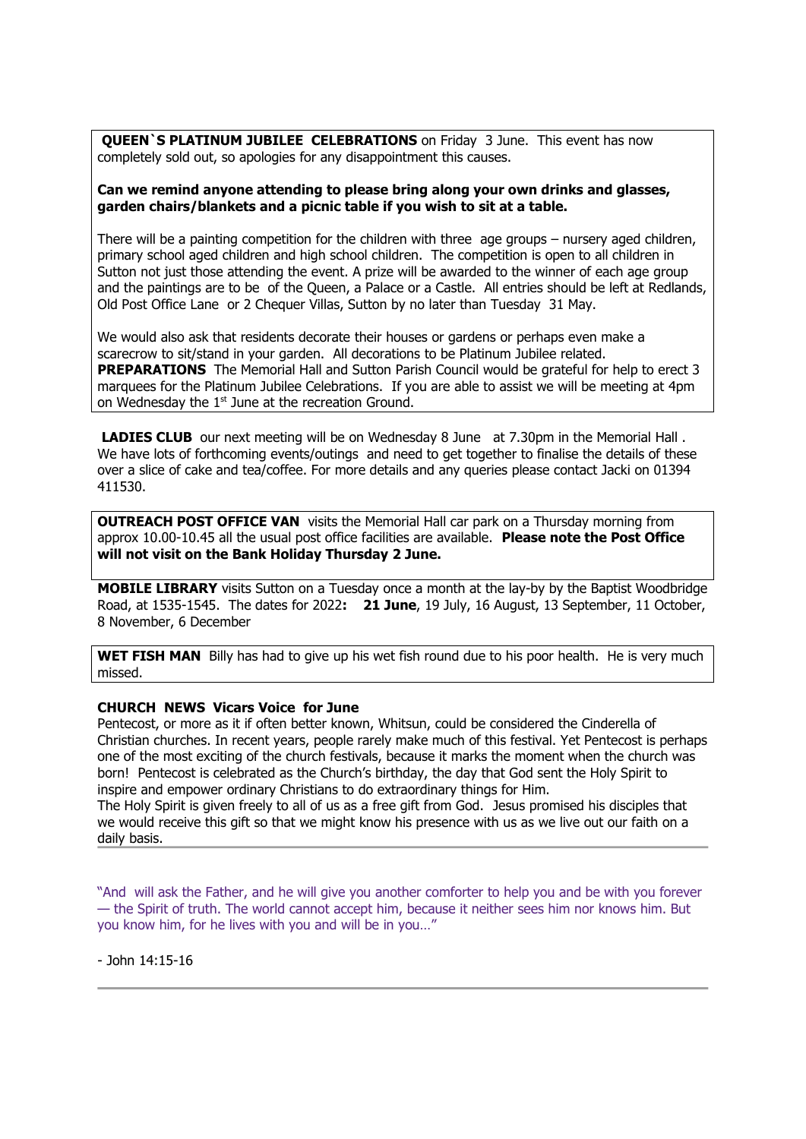**QUEEN`S PLATINUM JUBILEE CELEBRATIONS** on Friday 3 June. This event has now completely sold out, so apologies for any disappointment this causes.

#### **Can we remind anyone attending to please bring along your own drinks and glasses, garden chairs/blankets and a picnic table if you wish to sit at a table.**

There will be a painting competition for the children with three age groups – nursery aged children, primary school aged children and high school children. The competition is open to all children in Sutton not just those attending the event. A prize will be awarded to the winner of each age group and the paintings are to be of the Queen, a Palace or a Castle. All entries should be left at Redlands, Old Post Office Lane or 2 Chequer Villas, Sutton by no later than Tuesday 31 May.

We would also ask that residents decorate their houses or gardens or perhaps even make a scarecrow to sit/stand in your garden. All decorations to be Platinum Jubilee related. **PREPARATIONS** The Memorial Hall and Sutton Parish Council would be grateful for help to erect 3 marquees for the Platinum Jubilee Celebrations. If you are able to assist we will be meeting at 4pm on Wednesday the 1<sup>st</sup> June at the recreation Ground.

**LADIES CLUB** our next meeting will be on Wednesday 8 June at 7.30pm in the Memorial Hall. We have lots of forthcoming events/outings and need to get together to finalise the details of these over a slice of cake and tea/coffee. For more details and any queries please contact Jacki on 01394 411530.

**OUTREACH POST OFFICE VAN** visits the Memorial Hall car park on a Thursday morning from approx 10.00-10.45 all the usual post office facilities are available. **Please note the Post Office will not visit on the Bank Holiday Thursday 2 June.**

**MOBILE LIBRARY** visits Sutton on a Tuesday once a month at the lay-by by the Baptist Woodbridge Road, at 1535-1545. The dates for 2022**: 21 June**, 19 July, 16 August, 13 September, 11 October, 8 November, 6 December

**WET FISH MAN** Billy has had to give up his wet fish round due to his poor health. He is very much missed.

#### **CHURCH NEWS Vicars Voice for June**

Pentecost, or more as it if often better known, Whitsun, could be considered the Cinderella of Christian churches. In recent years, people rarely make much of this festival. Yet Pentecost is perhaps one of the most exciting of the church festivals, because it marks the moment when the church was born! Pentecost is celebrated as the Church's birthday, the day that God sent the Holy Spirit to inspire and empower ordinary Christians to do extraordinary things for Him.

The Holy Spirit is given freely to all of us as a free gift from God. Jesus promised his disciples that we would receive this gift so that we might know his presence with us as we live out our faith on a daily basis.

"And will ask the Father, and he will give you another comforter to help you and be with you forever — the Spirit of truth. The world cannot accept him, because it neither sees him nor knows him. But you know him, for he lives with you and will be in you…"

- John 14:15-16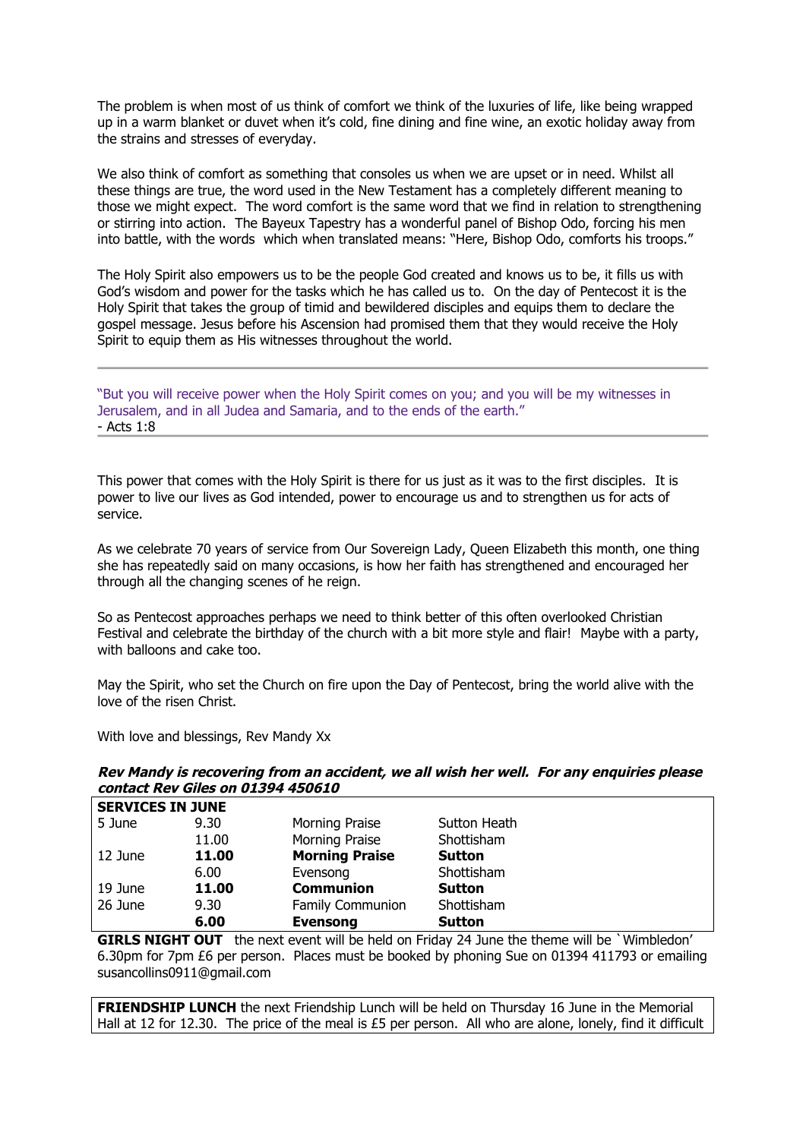The problem is when most of us think of comfort we think of the luxuries of life, like being wrapped up in a warm blanket or duvet when it's cold, fine dining and fine wine, an exotic holiday away from the strains and stresses of everyday.

We also think of comfort as something that consoles us when we are upset or in need. Whilst all these things are true, the word used in the New Testament has a completely different meaning to those we might expect. The word comfort is the same word that we find in relation to strengthening or stirring into action. The Bayeux Tapestry has a wonderful panel of Bishop Odo, forcing his men into battle, with the words which when translated means: "Here, Bishop Odo, comforts his troops."

The Holy Spirit also empowers us to be the people God created and knows us to be, it fills us with God's wisdom and power for the tasks which he has called us to. On the day of Pentecost it is the Holy Spirit that takes the group of timid and bewildered disciples and equips them to declare the gospel message. Jesus before his Ascension had promised them that they would receive the Holy Spirit to equip them as His witnesses throughout the world.

"But you will receive power when the Holy Spirit comes on you; and you will be my witnesses in Jerusalem, and in all Judea and Samaria, and to the ends of the earth." - Acts 1:8

This power that comes with the Holy Spirit is there for us just as it was to the first disciples. It is power to live our lives as God intended, power to encourage us and to strengthen us for acts of service.

As we celebrate 70 years of service from Our Sovereign Lady, Queen Elizabeth this month, one thing she has repeatedly said on many occasions, is how her faith has strengthened and encouraged her through all the changing scenes of he reign.

So as Pentecost approaches perhaps we need to think better of this often overlooked Christian Festival and celebrate the birthday of the church with a bit more style and flair! Maybe with a party, with balloons and cake too.

May the Spirit, who set the Church on fire upon the Day of Pentecost, bring the world alive with the love of the risen Christ.

With love and blessings, Rev Mandy Xx

### **Rev Mandy is recovering from an accident, we all wish her well. For any enquiries please contact Rev Giles on 01394 450610**

| <b>SERVICES IN JUNE</b> |       |                         |               |  |  |
|-------------------------|-------|-------------------------|---------------|--|--|
| 5 June                  | 9.30  | Morning Praise          | Sutton Heath  |  |  |
|                         | 11.00 | Morning Praise          | Shottisham    |  |  |
| 12 June                 | 11.00 | <b>Morning Praise</b>   | <b>Sutton</b> |  |  |
|                         | 6.00  | Evensong                | Shottisham    |  |  |
| 19 June                 | 11.00 | <b>Communion</b>        | <b>Sutton</b> |  |  |
| 26 June                 | 9.30  | <b>Family Communion</b> | Shottisham    |  |  |
|                         | 6.00  | <b>Evensong</b>         | <b>Sutton</b> |  |  |

**GIRLS NIGHT OUT** the next event will be held on Friday 24 June the theme will be `Wimbledon' 6.30pm for 7pm £6 per person. Places must be booked by phoning Sue on 01394 411793 or emailing susancollins0911@gmail.com

**FRIENDSHIP LUNCH** the next Friendship Lunch will be held on Thursday 16 June in the Memorial Hall at 12 for 12.30. The price of the meal is £5 per person. All who are alone, lonely, find it difficult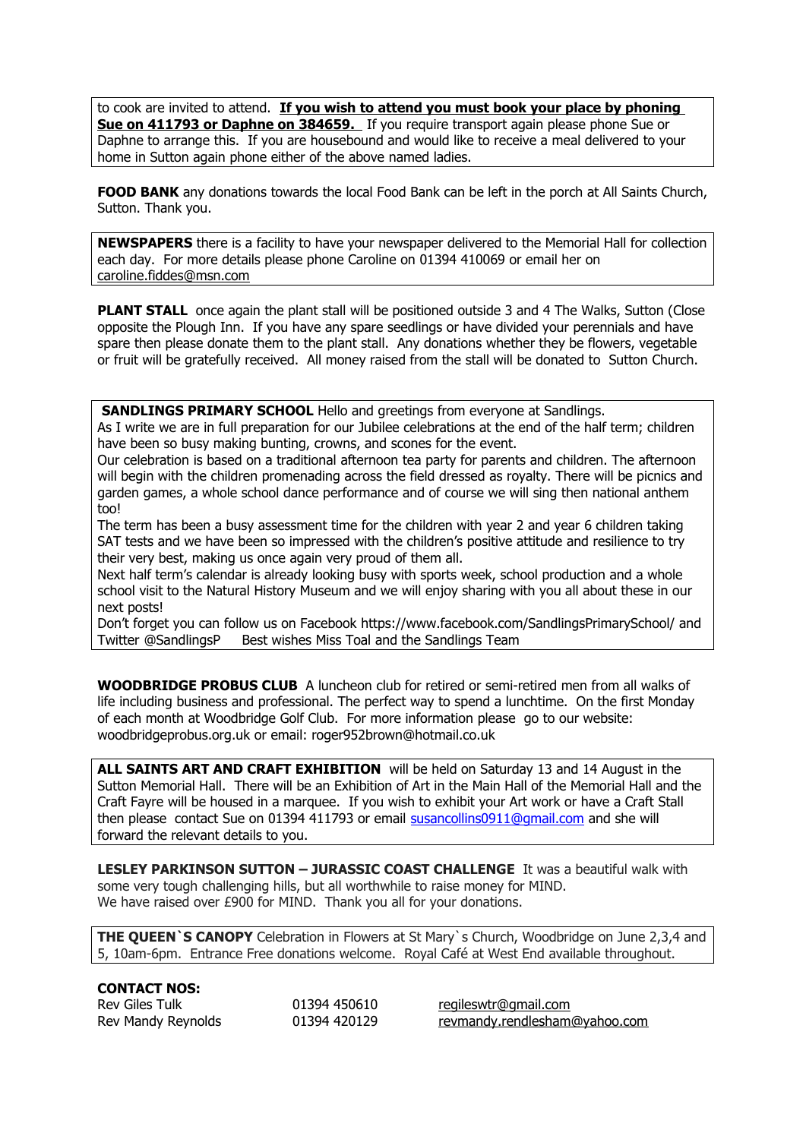to cook are invited to attend. **If you wish to attend you must book your place by phoning Sue on 411793 or Daphne on 384659.** If you require transport again please phone Sue or Daphne to arrange this. If you are housebound and would like to receive a meal delivered to your home in Sutton again phone either of the above named ladies.

**FOOD BANK** any donations towards the local Food Bank can be left in the porch at All Saints Church, Sutton. Thank you.

**NEWSPAPERS** there is a facility to have your newspaper delivered to the Memorial Hall for collection each day. For more details please phone Caroline on 01394 410069 or email her on [caroline.fiddes@msn.com](mailto:caroline.fiddes@msn.com)

**PLANT STALL** once again the plant stall will be positioned outside 3 and 4 The Walks, Sutton (Close opposite the Plough Inn. If you have any spare seedlings or have divided your perennials and have spare then please donate them to the plant stall. Any donations whether they be flowers, vegetable or fruit will be gratefully received. All money raised from the stall will be donated to Sutton Church.

**SANDLINGS PRIMARY SCHOOL Hello and greetings from everyone at Sandlings.** 

As I write we are in full preparation for our Jubilee celebrations at the end of the half term; children have been so busy making bunting, crowns, and scones for the event.

Our celebration is based on a traditional afternoon tea party for parents and children. The afternoon will begin with the children promenading across the field dressed as royalty. There will be picnics and garden games, a whole school dance performance and of course we will sing then national anthem too!

The term has been a busy assessment time for the children with year 2 and year 6 children taking SAT tests and we have been so impressed with the children's positive attitude and resilience to try their very best, making us once again very proud of them all.

Next half term's calendar is already looking busy with sports week, school production and a whole school visit to the Natural History Museum and we will enjoy sharing with you all about these in our next posts!

Don't forget you can follow us on Facebook https://www.facebook.com/SandlingsPrimarySchool/ and Twitter @SandlingsP Best wishes Miss Toal and the Sandlings Team

**WOODBRIDGE PROBUS CLUB** A luncheon club for retired or semi-retired men from all walks of life including business and professional. The perfect way to spend a lunchtime. On the first Monday of each month at Woodbridge Golf Club. For more information please go to our website: woodbridgeprobus.org.uk or email: roger952brown@hotmail.co.uk

**ALL SAINTS ART AND CRAFT EXHIBITION** will be held on Saturday 13 and 14 August in the Sutton Memorial Hall. There will be an Exhibition of Art in the Main Hall of the Memorial Hall and the Craft Fayre will be housed in a marquee. If you wish to exhibit your Art work or have a Craft Stall then please contact Sue on 01394 411793 or email susancollins0911@qmail.com and she will forward the relevant details to you.

**LESLEY PARKINSON SUTTON – JURASSIC COAST CHALLENGE** It was a beautiful walk with some very tough challenging hills, but all worthwhile to raise money for MIND. We have raised over £900 for MIND. Thank you all for your donations.

**THE QUEEN`S CANOPY** Celebration in Flowers at St Mary`s Church, Woodbridge on June 2,3,4 and 5, 10am-6pm. Entrance Free donations welcome. Royal Café at West End available throughout.

#### **CONTACT NOS:**

| <b>Rev Giles Tulk</b> | 01394 450 |
|-----------------------|-----------|
| Rev Mandy Reynolds    | 01394 420 |

0610 [regileswtr@gmail.com](mailto:regileswtr@gmail.com) 0129 rev mandy rendlesham@yahoo.com